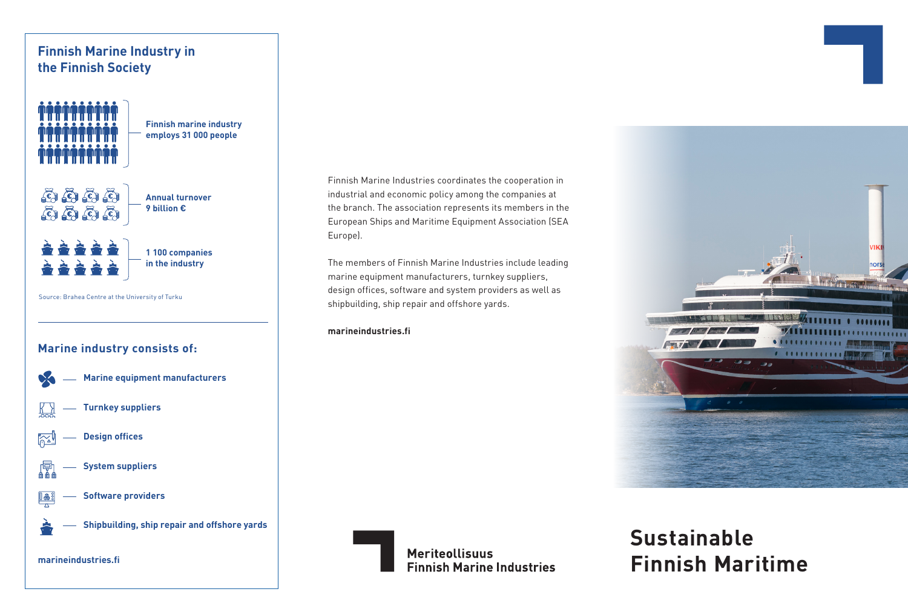

#### Finnish Marine Industries coordinates the cooperation in industrial and economic policy among the companies at the branch. The association represents its members in the European Ships and Maritime Equipment Association (SEA Europe).

The members of Finnish Marine Industries include leading marine equipment manufacturers, turnkey suppliers, design offices, software and system providers as well as shipbuilding, ship repair and offshore yards.

#### **marineindustries.fi**

**Meriteollisuus Finnish Marine Industries** 

# **Sustainable Finnish Maritime**